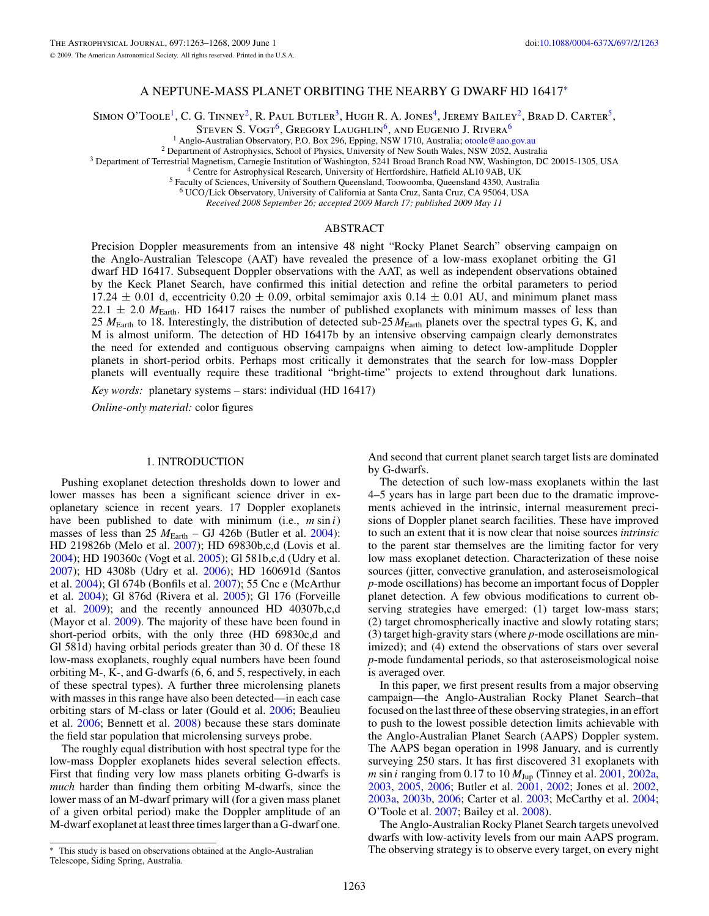## A NEPTUNE-MASS PLANET ORBITING THE NEARBY G DWARF HD 16417<sup>∗</sup>

SIMON O'TOOLE<sup>1</sup>, C. G. TINNEY<sup>2</sup>, R. PAUL BUTLER<sup>3</sup>, HUGH R. A. JONES<sup>4</sup>, JEREMY BAILEY<sup>2</sup>, BRAD D. CARTER<sup>5</sup>,

STEVEN S. VOGT<sup>6</sup>, GREGORY LAUGHLIN<sup>6</sup>, AND EUGENIO J. RIVERA<sup>6</sup>

<sup>1</sup> Anglo-Australian Observatory, P.O. Box 296, Epping, NSW 1710, Australia; [otoole@aao.gov.au](mailto:otoole@aao.gov.au)<br><sup>2</sup> Department of Astrophysics, School of Physics, University of New South Wales, NSW 2052, Australia<br><sup>3</sup> Department of Terres

<sup>6</sup> UCO*/*Lick Observatory, University of California at Santa Cruz, Santa Cruz, CA 95064, USA

*Received 2008 September 26; accepted 2009 March 17; published 2009 May 11*

# ABSTRACT

Precision Doppler measurements from an intensive 48 night "Rocky Planet Search" observing campaign on the Anglo-Australian Telescope (AAT) have revealed the presence of a low-mass exoplanet orbiting the G1 dwarf HD 16417. Subsequent Doppler observations with the AAT, as well as independent observations obtained by the Keck Planet Search, have confirmed this initial detection and refine the orbital parameters to period 17.24  $\pm$  0.01 d, eccentricity 0.20  $\pm$  0.09, orbital semimajor axis 0.14  $\pm$  0.01 AU, and minimum planet mass  $22.1 \pm 2.0$   $M_{\text{Earth}}$ . HD 16417 raises the number of published exoplanets with minimum masses of less than 25 *M*Earth to 18. Interestingly, the distribution of detected sub-25 *M*Earth planets over the spectral types G, K, and M is almost uniform. The detection of HD 16417b by an intensive observing campaign clearly demonstrates the need for extended and contiguous observing campaigns when aiming to detect low-amplitude Doppler planets in short-period orbits. Perhaps most critically it demonstrates that the search for low-mass Doppler planets will eventually require these traditional "bright-time" projects to extend throughout dark lunations.

*Key words:* planetary systems – stars: individual (HD 16417)

*Online-only material:* color figures

### 1. INTRODUCTION

Pushing exoplanet detection thresholds down to lower and lower masses has been a significant science driver in exoplanetary science in recent years. 17 Doppler exoplanets have been published to date with minimum (i.e., *m* sin *i*) masses of less than 25  $M_{\text{Earth}} - GJ$  426b (Butler et al. [2004\)](#page-5-0): HD 219826b (Melo et al. [2007\)](#page-5-0); HD 69830b,c,d (Lovis et al. [2004\)](#page-5-0); HD 190360c (Vogt et al. [2005\)](#page-5-0); Gl 581b,c,d (Udry et al. [2007\)](#page-5-0); HD 4308b (Udry et al. [2006\)](#page-5-0); HD 160691d (Santos et al. [2004\)](#page-5-0); Gl 674b (Bonfils et al. [2007\)](#page-5-0); 55 Cnc e (McArthur et al. [2004\)](#page-5-0); Gl 876d (Rivera et al. [2005\)](#page-5-0); Gl 176 (Forveille et al. [2009\)](#page-5-0); and the recently announced HD 40307b,c,d (Mayor et al. [2009\)](#page-5-0). The majority of these have been found in short-period orbits, with the only three (HD 69830c,d and Gl 581d) having orbital periods greater than 30 d. Of these 18 low-mass exoplanets, roughly equal numbers have been found orbiting M-, K-, and G-dwarfs (6, 6, and 5, respectively, in each of these spectral types). A further three microlensing planets with masses in this range have also been detected—in each case orbiting stars of M-class or later (Gould et al. [2006;](#page-5-0) Beaulieu et al. [2006;](#page-5-0) Bennett et al. [2008\)](#page-5-0) because these stars dominate the field star population that microlensing surveys probe.

The roughly equal distribution with host spectral type for the low-mass Doppler exoplanets hides several selection effects. First that finding very low mass planets orbiting G-dwarfs is *much* harder than finding them orbiting M-dwarfs, since the lower mass of an M-dwarf primary will (for a given mass planet of a given orbital period) make the Doppler amplitude of an M-dwarf exoplanet at least three times larger than a G-dwarf one.

This study is based on observations obtained at the Anglo-Australian Telescope, Siding Spring, Australia.

And second that current planet search target lists are dominated by G-dwarfs.

The detection of such low-mass exoplanets within the last 4–5 years has in large part been due to the dramatic improvements achieved in the intrinsic, internal measurement precisions of Doppler planet search facilities. These have improved to such an extent that it is now clear that noise sources *intrinsic* to the parent star themselves are the limiting factor for very low mass exoplanet detection. Characterization of these noise sources (jitter, convective granulation, and asteroseismological *p*-mode oscillations) has become an important focus of Doppler planet detection. A few obvious modifications to current observing strategies have emerged: (1) target low-mass stars; (2) target chromospherically inactive and slowly rotating stars; (3) target high-gravity stars (where *p*-mode oscillations are minimized); and (4) extend the observations of stars over several *p*-mode fundamental periods, so that asteroseismological noise is averaged over.

In this paper, we first present results from a major observing campaign—the Anglo-Australian Rocky Planet Search–that focused on the last three of these observing strategies, in an effort to push to the lowest possible detection limits achievable with the Anglo-Australian Planet Search (AAPS) Doppler system. The AAPS began operation in 1998 January, and is currently surveying 250 stars. It has first discovered 31 exoplanets with *m* sin *i* ranging from 0.17 to 10 *M*Jup (Tinney et al. [2001,](#page-5-0) [2002a,](#page-5-0) [2003,](#page-5-0) [2005,](#page-5-0) [2006;](#page-5-0) Butler et al. [2001,](#page-5-0) [2002;](#page-5-0) Jones et al. [2002,](#page-5-0) [2003a,](#page-5-0) [2003b,](#page-5-0) [2006;](#page-5-0) Carter et al. [2003;](#page-5-0) McCarthy et al. [2004;](#page-5-0) O'Toole et al. [2007;](#page-5-0) Bailey et al. [2008\)](#page-5-0).

The Anglo-Australian Rocky Planet Search targets unevolved dwarfs with low-activity levels from our main AAPS program. The observing strategy is to observe every target, on every night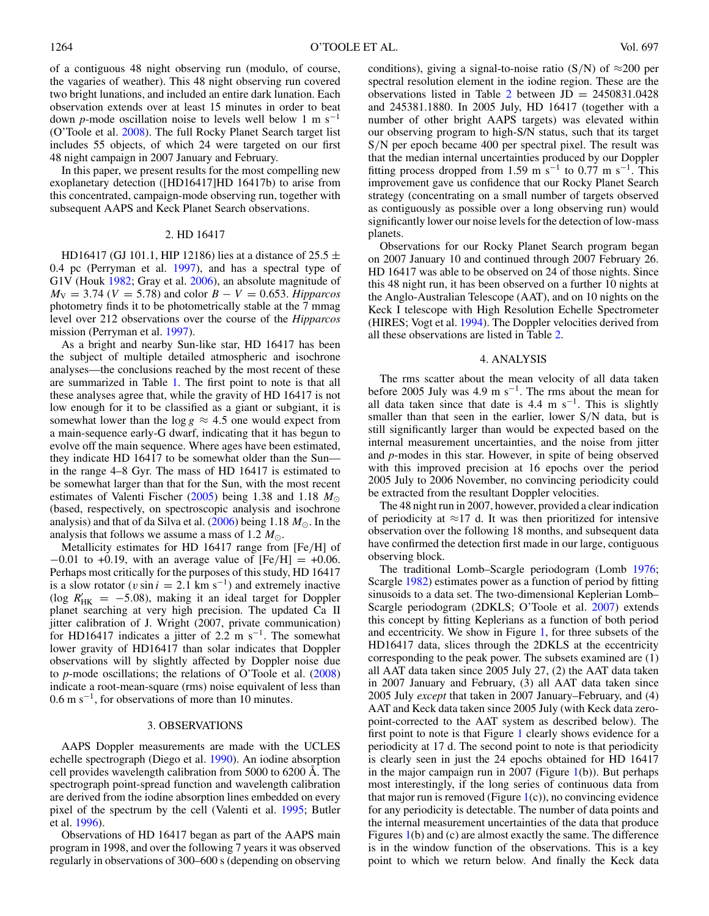of a contiguous 48 night observing run (modulo, of course, the vagaries of weather). This 48 night observing run covered two bright lunations, and included an entire dark lunation. Each observation extends over at least 15 minutes in order to beat down *p*-mode oscillation noise to levels well below 1 m s−<sup>1</sup> (O'Toole et al. [2008\)](#page-5-0). The full Rocky Planet Search target list includes 55 objects, of which 24 were targeted on our first 48 night campaign in 2007 January and February.

In this paper, we present results for the most compelling new exoplanetary detection ([HD16417]HD 16417b) to arise from this concentrated, campaign-mode observing run, together with subsequent AAPS and Keck Planet Search observations.

### 2. HD 16417

HD16417 (GJ 101.1, HIP 12186) lies at a distance of 25.5  $\pm$ 0.4 pc (Perryman et al. [1997\)](#page-5-0), and has a spectral type of G1V (Houk [1982;](#page-5-0) Gray et al. [2006\)](#page-5-0), an absolute magnitude of  $M_V = 3.74$  (*V* = 5.78) and color  $B - V = 0.653$ . *Hipparcos* photometry finds it to be photometrically stable at the 7 mmag level over 212 observations over the course of the *Hipparcos* mission (Perryman et al. [1997\)](#page-5-0).

As a bright and nearby Sun-like star, HD 16417 has been the subject of multiple detailed atmospheric and isochrone analyses—the conclusions reached by the most recent of these are summarized in Table [1.](#page-2-0) The first point to note is that all these analyses agree that, while the gravity of HD 16417 is not low enough for it to be classified as a giant or subgiant, it is somewhat lower than the  $\log g \approx 4.5$  one would expect from a main-sequence early-G dwarf, indicating that it has begun to evolve off the main sequence. Where ages have been estimated, they indicate HD 16417 to be somewhat older than the Sun in the range 4–8 Gyr. The mass of HD 16417 is estimated to be somewhat larger than that for the Sun, with the most recent estimates of Valenti Fischer [\(2005\)](#page-5-0) being 1.38 and 1.18 *M* (based, respectively, on spectroscopic analysis and isochrone analysis) and that of da Silva et al.  $(2006)$  being 1.18  $M_{\odot}$ . In the analysis that follows we assume a mass of 1.2  $M_{\odot}$ .

Metallicity estimates for HD 16417 range from [Fe*/*H] of −0.01 to +0.19, with an average value of [Fe*/*H] = +0.06. Perhaps most critically for the purposes of this study, HD 16417 is a slow rotator ( $v \sin i = 2.1$  km s<sup>-1</sup>) and extremely inactive (log  $R'_{HK}$  = −5.08), making it an ideal target for Doppler planet searching at very high precision. The updated Ca II jitter calibration of J. Wright (2007, private communication) for HD16417 indicates a jitter of 2.2 m s<sup>-1</sup>. The somewhat lower gravity of HD16417 than solar indicates that Doppler observations will by slightly affected by Doppler noise due to *p*-mode oscillations; the relations of O'Toole et al. [\(2008\)](#page-5-0) indicate a root-mean-square (rms) noise equivalent of less than  $0.6$  m s<sup>-1</sup>, for observations of more than 10 minutes.

#### 3. OBSERVATIONS

AAPS Doppler measurements are made with the UCLES echelle spectrograph (Diego et al. [1990\)](#page-5-0). An iodine absorption cell provides wavelength calibration from 5000 to 6200 Å. The spectrograph point-spread function and wavelength calibration are derived from the iodine absorption lines embedded on every pixel of the spectrum by the cell (Valenti et al. [1995;](#page-5-0) Butler et al. [1996\)](#page-5-0).

Observations of HD 16417 began as part of the AAPS main program in 1998, and over the following 7 years it was observed regularly in observations of 300–600 s (depending on observing conditions), giving a signal-to-noise ratio  $(S/N)$  of  $\approx 200$  per spectral resolution element in the iodine region. These are the observations listed in Table [2](#page-3-0) between  $JD = 2450831.0428$ and 245381.1880. In 2005 July, HD 16417 (together with a number of other bright AAPS targets) was elevated within our observing program to high-S/N status, such that its target S*/*N per epoch became 400 per spectral pixel. The result was that the median internal uncertainties produced by our Doppler fitting process dropped from 1.59 m s<sup>-1</sup> to 0.77 m s<sup>-1</sup>. This improvement gave us confidence that our Rocky Planet Search strategy (concentrating on a small number of targets observed as contiguously as possible over a long observing run) would significantly lower our noise levels for the detection of low-mass planets.

Observations for our Rocky Planet Search program began on 2007 January 10 and continued through 2007 February 26. HD 16417 was able to be observed on 24 of those nights. Since this 48 night run, it has been observed on a further 10 nights at the Anglo-Australian Telescope (AAT), and on 10 nights on the Keck I telescope with High Resolution Echelle Spectrometer (HIRES; Vogt et al. [1994\)](#page-5-0). The Doppler velocities derived from all these observations are listed in Table [2.](#page-3-0)

#### 4. ANALYSIS

The rms scatter about the mean velocity of all data taken before 2005 July was 4.9 m s<sup>-1</sup>. The rms about the mean for all data taken since that date is 4.4 m s<sup>-1</sup>. This is slightly smaller than that seen in the earlier, lower S*/*N data, but is still significantly larger than would be expected based on the internal measurement uncertainties, and the noise from jitter and *p*-modes in this star. However, in spite of being observed with this improved precision at 16 epochs over the period 2005 July to 2006 November, no convincing periodicity could be extracted from the resultant Doppler velocities.

The 48 night run in 2007, however, provided a clear indication of periodicity at  $\approx$ 17 d. It was then prioritized for intensive observation over the following 18 months, and subsequent data have confirmed the detection first made in our large, contiguous observing block.

The traditional Lomb–Scargle periodogram (Lomb [1976;](#page-5-0) Scargle [1982\)](#page-5-0) estimates power as a function of period by fitting sinusoids to a data set. The two-dimensional Keplerian Lomb– Scargle periodogram (2DKLS; O'Toole et al. [2007\)](#page-5-0) extends this concept by fitting Keplerians as a function of both period and eccentricity. We show in Figure [1,](#page-2-0) for three subsets of the HD16417 data, slices through the 2DKLS at the eccentricity corresponding to the peak power. The subsets examined are (1) all AAT data taken since 2005 July 27, (2) the AAT data taken in 2007 January and February, (3) all AAT data taken since 2005 July *except* that taken in 2007 January–February, and (4) AAT and Keck data taken since 2005 July (with Keck data zeropoint-corrected to the AAT system as described below). The first point to note is that Figure [1](#page-2-0) clearly shows evidence for a periodicity at 17 d. The second point to note is that periodicity is clearly seen in just the 24 epochs obtained for HD 16417 in the major campaign run in 2007 (Figure  $1(b)$  $1(b)$ ). But perhaps most interestingly, if the long series of continuous data from that major run is removed (Figure  $1(c)$  $1(c)$ ), no convincing evidence for any periodicity is detectable. The number of data points and the internal measurement uncertainties of the data that produce Figures [1\(](#page-2-0)b) and (c) are almost exactly the same. The difference is in the window function of the observations. This is a key point to which we return below. And finally the Keck data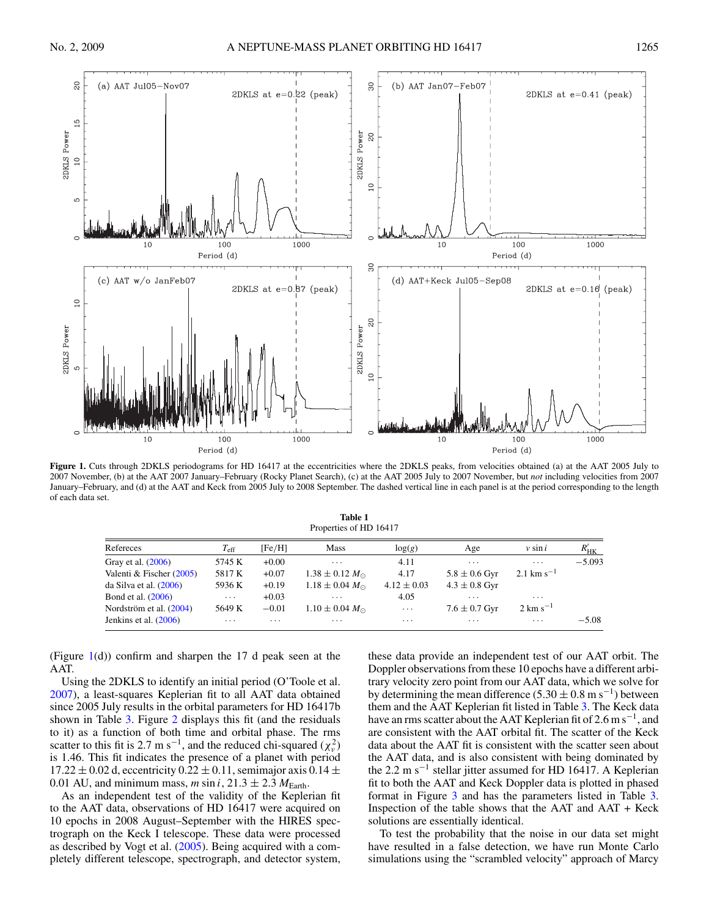<span id="page-2-0"></span> $\mathbb{S}^2$ 

(a) AAT Jul05-Nov07

2DKLS at  $e=0.22$  (peak)

8



Figure 1. Cuts through 2DKLS periodograms for HD 16417 at the eccentricities where the 2DKLS peaks, from velocities obtained (a) at the AAT 2005 July to 2007 November, (b) at the AAT 2007 January–February (Rocky Planet Search), (c) at the AAT 2005 July to 2007 November, but *not* including velocities from 2007 January–February, and (d) at the AAT and Keck from 2005 July to 2008 September. The dashed vertical line in each panel is at the period corresponding to the length of each data set.

**Table 1**

| Properties of HD 16417   |               |          |                           |                 |                         |                         |           |
|--------------------------|---------------|----------|---------------------------|-----------------|-------------------------|-------------------------|-----------|
| Refereces                | $T_{\rm eff}$ | [Fe/H]   | Mass                      | log(g)          | Age                     | $v \sin i$              | $R'_{HK}$ |
| Gray et al. (2006)       | 5745 K        | $+0.00$  | $\cdots$                  | 4.11            | $\cdots$                | $\cdots$                | $-5.093$  |
| Valenti & Fischer (2005) | 5817 K        | $+0.07$  | $1.38 \pm 0.12 M_{\odot}$ | 4.17            | $5.8 \pm 0.6$ Gyr       | 2.1 km s <sup>-1</sup>  |           |
| da Silva et al. (2006)   | 5936 K        | $+0.19$  | $1.18 \pm 0.04 M_{\odot}$ | $4.12 \pm 0.03$ | $4.3 \pm 0.8$ Gyr       |                         |           |
| Bond et al. (2006)       | $\cdots$      | $+0.03$  | $\cdot$ $\cdot$ $\cdot$   | 4.05            | $\cdot$ $\cdot$ $\cdot$ | $\cdot$ $\cdot$ $\cdot$ |           |
| Nordström et al. (2004)  | 5649 K        | $-0.01$  | $1.10 \pm 0.04 M_{\odot}$ | $\cdots$        | $7.6 \pm 0.7$ Gyr       | $2 \text{ km s}^{-1}$   |           |
| Jenkins et al. $(2006)$  | $\cdots$      | $\cdots$ | .                         | $\cdots$        | $\cdot$ $\cdot$ $\cdot$ | $\cdots$                | $-5.08$   |

(Figure  $1(d)$ ) confirm and sharpen the 17 d peak seen at the AAT.

Using the 2DKLS to identify an initial period (O'Toole et al. [2007\)](#page-5-0), a least-squares Keplerian fit to all AAT data obtained since 2005 July results in the orbital parameters for HD 16417b shown in Table [3.](#page-3-0) Figure [2](#page-3-0) displays this fit (and the residuals to it) as a function of both time and orbital phase. The rms scatter to this fit is 2.7 m s<sup>-1</sup>, and the reduced chi-squared ( $\chi^2_\nu$ ) is 1.46. This fit indicates the presence of a planet with period  $17.22 \pm 0.02$  d, eccentricity  $0.22 \pm 0.11$ , semimajor axis  $0.14 \pm 0.02$ 0.01 AU, and minimum mass, *m* sin *i*,  $21.3 \pm 2.3$   $M_{\text{Earth}}$ .

As an independent test of the validity of the Keplerian fit to the AAT data, observations of HD 16417 were acquired on 10 epochs in 2008 August–September with the HIRES spectrograph on the Keck I telescope. These data were processed as described by Vogt et al. [\(2005\)](#page-5-0). Being acquired with a completely different telescope, spectrograph, and detector system, these data provide an independent test of our AAT orbit. The Doppler observations from these 10 epochs have a different arbitrary velocity zero point from our AAT data, which we solve for by determining the mean difference (5.30  $\pm$  0.8 m s<sup>-1</sup>) between them and the AAT Keplerian fit listed in Table [3.](#page-3-0) The Keck data have an rms scatter about the AAT Keplerian fit of  $2.6 \text{ m s}^{-1}$ , and are consistent with the AAT orbital fit. The scatter of the Keck data about the AAT fit is consistent with the scatter seen about the AAT data, and is also consistent with being dominated by the 2.2 m s<sup> $-1$ </sup> stellar jitter assumed for HD 16417. A Keplerian fit to both the AAT and Keck Doppler data is plotted in phased format in Figure [3](#page-4-0) and has the parameters listed in Table [3.](#page-3-0) Inspection of the table shows that the  $AAT$  and  $AAT + Keck$ solutions are essentially identical.

To test the probability that the noise in our data set might have resulted in a false detection, we have run Monte Carlo simulations using the "scrambled velocity" approach of Marcy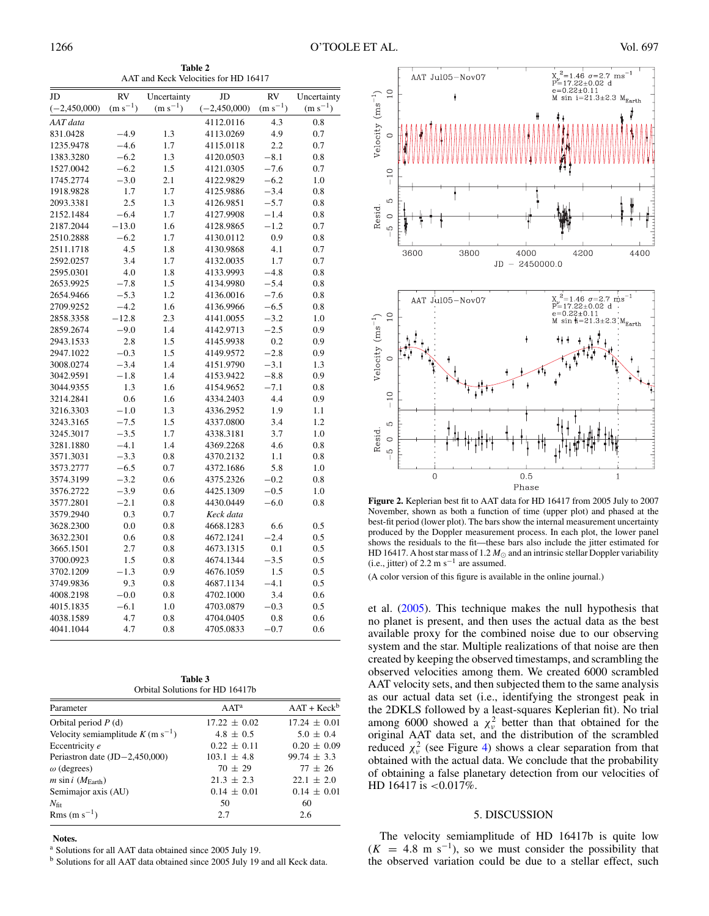**Table 2** AAT and Keck Velocities for HD 16417

<span id="page-3-0"></span>

| JD                     | <b>RV</b>        | Uncertainty  | JD                     | <b>RV</b>    | Uncertainty  |
|------------------------|------------------|--------------|------------------------|--------------|--------------|
| $(-2,450,000)$         | $(m s^{-1})$     | $(m s^{-1})$ | $(-2,450,000)$         | $(m s^{-1})$ | $(m s^{-1})$ |
| AAT data               |                  |              | 4112.0116              | 4.3          | 0.8          |
| 831.0428               | $-4.9$           | 1.3          | 4113.0269              | 4.9          | 0.7          |
| 1235.9478              | $-4.6$           | 1.7          | 4115.0118              | 2.2          | 0.7          |
| 1383.3280              | $-6.2$           | 1.3          | 4120.0503              | $-8.1$       | 0.8          |
| 1527.0042              | $-6.2$           | 1.5          | 4121.0305              | $-7.6$       | 0.7          |
| 1745.2774              | $-3.0$           | 2.1          | 4122.9829              | $-6.2$       | 1.0          |
| 1918.9828              | 1.7              | 1.7          | 4125.9886              | $-3.4$       | 0.8          |
| 2093.3381              | 2.5              | 1.3          | 4126.9851              | $-5.7$       | 0.8          |
| 2152.1484              | $-6.4$           | 1.7          | 4127.9908              | $-1.4$       | 0.8          |
| 2187.2044              | $-13.0$          | 1.6          | 4128.9865              | $-1.2$       | 0.7          |
| 2510.2888              | $-6.2$           | 1.7          | 4130.0112              | 0.9          | 0.8          |
| 2511.1718              | 4.5              | 1.8          | 4130.9868              | 4.1          | 0.7          |
| 2592.0257              | 3.4              | 1.7          | 4132.0035              | 1.7          | 0.7          |
| 2595.0301              | 4.0              | 1.8          | 4133.9993              | $-4.8$       | 0.8          |
| 2653.9925              | $-7.8$           | 1.5          | 4134.9980              | $-5.4$       | 0.8          |
| 2654.9466              | $-5.3$           | 1.2          | 4136.0016              | $-7.6$       | 0.8          |
| 2709.9252              | $-4.2$           | 1.6          | 4136.9966              | $-6.5$       | 0.8          |
| 2858.3358              | $-12.8$          | 2.3          | 4141.0055              | $-3.2$       | 1.0          |
| 2859.2674              | $-9.0$           | 1.4          | 4142.9713              | $-2.5$       | 0.9          |
| 2943.1533              | 2.8              | 1.5          | 4145.9938              | 0.2          | 0.9          |
| 2947.1022              | $-0.3$           | 1.5          | 4149.9572              | $-2.8$       | 0.9          |
| 3008.0274              | $-3.4$           | 1.4          | 4151.9790              | $-3.1$       | 1.3          |
| 3042.9591              | $-1.8$           | 1.4          | 4153.9422              | $-8.8$       | 0.9          |
| 3044.9355              | 1.3              | 1.6          | 4154.9652              | $-7.1$       | 0.8          |
| 3214.2841              | 0.6              | 1.6          | 4334.2403              | 4.4          | 0.9          |
| 3216.3303              | $-1.0$           | 1.3          | 4336.2952              | 1.9          | 1.1          |
| 3243.3165              | $-7.5$           | 1.5          | 4337.0800              | 3.4          | 1.2          |
| 3245.3017              | $-3.5$           | 1.7          | 4338.3181              | 3.7          | 1.0          |
| 3281.1880              | $-4.1$           | 1.4          | 4369.2268              | 4.6          | 0.8          |
| 3571.3031              | $-3.3$<br>$-6.5$ | 0.8          | 4370.2132              | 1.1<br>5.8   | 0.8          |
| 3573.2777<br>3574.3199 | $-3.2$           | 0.7<br>0.6   | 4372.1686<br>4375.2326 | $-0.2$       | 1.0<br>0.8   |
| 3576.2722              | $-3.9$           | 0.6          | 4425.1309              | $-0.5$       | 1.0          |
| 3577.2801              | $-2.1$           | 0.8          | 4430.0449              | $-6.0$       | 0.8          |
| 3579.2940              | 0.3              | 0.7          | Keck data              |              |              |
| 3628.2300              | 0.0              | 0.8          | 4668.1283              | 6.6          | 0.5          |
| 3632.2301              | 0.6              | 0.8          | 4672.1241              | $-2.4$       | 0.5          |
| 3665.1501              | 2.7              | 0.8          | 4673.1315              | 0.1          | 0.5          |
| 3700.0923              | 1.5              | 0.8          | 4674.1344              | $-3.5$       | 0.5          |
| 3702.1209              | $-1.3$           | 0.9          | 4676.1059              | 1.5          | 0.5          |
| 3749.9836              | 9.3              | 0.8          | 4687.1134              | $-4.1$       | 0.5          |
| 4008.2198              | $-0.0$           | 0.8          | 4702.1000              | 3.4          | 0.6          |
| 4015.1835              | $-6.1$           | 1.0          | 4703.0879              | $-0.3$       | 0.5          |
| 4038.1589              | 4.7              | 0.8          | 4704.0405              | 0.8          | 0.6          |
| 4041.1044              | 4.7              | 0.8          | 4705.0833              | $-0.7$       | 0.6          |
|                        |                  |              |                        |              |              |

| Table 3                         |  |  |  |  |
|---------------------------------|--|--|--|--|
| Orbital Solutions for HD 16417b |  |  |  |  |

| Parameter                                       | $AAT^a$          | $AAT + Keck^b$   |
|-------------------------------------------------|------------------|------------------|
| Orbital period $P(d)$                           | $17.22 \pm 0.02$ | $17.24 \pm 0.01$ |
| Velocity semiamplitude $K$ (m s <sup>-1</sup> ) | $4.8 \pm 0.5$    | $5.0 \pm 0.4$    |
| Eccentricity e                                  | $0.22 \pm 0.11$  | $0.20 \pm 0.09$  |
| Periastron date $(JD-2,450,000)$                | $103.1 \pm 4.8$  | $99.74 \pm 3.3$  |
| $\omega$ (degrees)                              | $70 \pm 29$      | $77 \pm 26$      |
| <i>m</i> sin <i>i</i> ( $M_{\text{Earth}}$ )    | $21.3 \pm 2.3$   | $22.1 \pm 2.0$   |
| Semimajor axis (AU)                             | $0.14 \pm 0.01$  | $0.14 \pm 0.01$  |
| $N_{\rm fit}$                                   | 50               | 60               |
| Rms (m s <sup>-1</sup> )                        | 2.7              | 2.6              |

**Notes.**

<sup>a</sup> Solutions for all AAT data obtained since 2005 July 19.

<sup>b</sup> Solutions for all AAT data obtained since 2005 July 19 and all Keck data.



**Figure 2.** Keplerian best fit to AAT data for HD 16417 from 2005 July to 2007 November, shown as both a function of time (upper plot) and phased at the best-fit period (lower plot). The bars show the internal measurement uncertainty produced by the Doppler measurement process. In each plot, the lower panel shows the residuals to the fit—these bars also include the jitter estimated for HD 16417. A host star mass of 1.2  $M_{\odot}$  and an intrinsic stellar Doppler variability (i.e., jitter) of 2.2 m s<sup> $-1$ </sup> are assumed.

(A color version of this figure is available in the online journal.)

et al. [\(2005\)](#page-5-0). This technique makes the null hypothesis that no planet is present, and then uses the actual data as the best available proxy for the combined noise due to our observing system and the star. Multiple realizations of that noise are then created by keeping the observed timestamps, and scrambling the observed velocities among them. We created 6000 scrambled AAT velocity sets, and then subjected them to the same analysis as our actual data set (i.e., identifying the strongest peak in the 2DKLS followed by a least-squares Keplerian fit). No trial among 6000 showed a  $\chi^2_\nu$  better than that obtained for the original AAT data set, and the distribution of the scrambled reduced  $\chi^2_\nu$  (see Figure [4\)](#page-4-0) shows a clear separation from that obtained with the actual data. We conclude that the probability of obtaining a false planetary detection from our velocities of HD 16417 is *<*0.017%.

## 5. DISCUSSION

The velocity semiamplitude of HD 16417b is quite low  $(K = 4.8 \text{ m s}^{-1})$ , so we must consider the possibility that the observed variation could be due to a stellar effect, such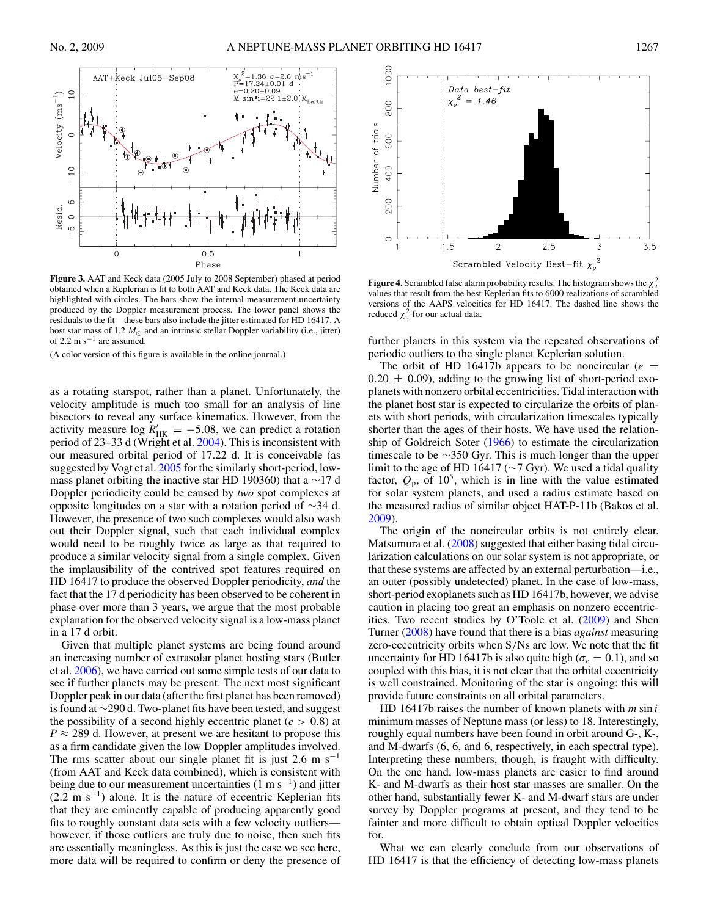$\overline{0}$ 



<span id="page-4-0"></span>

**Figure 3.** AAT and Keck data (2005 July to 2008 September) phased at period obtained when a Keplerian is fit to both AAT and Keck data. The Keck data are highlighted with circles. The bars show the internal measurement uncertainty produced by the Doppler measurement process. The lower panel shows the residuals to the fit—these bars also include the jitter estimated for HD 16417. A host star mass of 1.2  $M_{\odot}$  and an intrinsic stellar Doppler variability (i.e., jitter) of 2.2 m s<sup> $-1$ </sup> are assumed.

(A color version of this figure is available in the online journal.)

as a rotating starspot, rather than a planet. Unfortunately, the velocity amplitude is much too small for an analysis of line bisectors to reveal any surface kinematics. However, from the activity measure  $\log R'_{HK} = -5.08$ , we can predict a rotation period of 23–33 d (Wright et al. [2004\)](#page-5-0). This is inconsistent with our measured orbital period of 17.22 d. It is conceivable (as suggested by Vogt et al. [2005](#page-5-0) for the similarly short-period, lowmass planet orbiting the inactive star HD 190360) that a ∼17 d Doppler periodicity could be caused by *two* spot complexes at opposite longitudes on a star with a rotation period of ∼34 d. However, the presence of two such complexes would also wash out their Doppler signal, such that each individual complex would need to be roughly twice as large as that required to produce a similar velocity signal from a single complex. Given the implausibility of the contrived spot features required on HD 16417 to produce the observed Doppler periodicity, *and* the fact that the 17 d periodicity has been observed to be coherent in phase over more than 3 years, we argue that the most probable explanation for the observed velocity signal is a low-mass planet in a 17 d orbit.

Given that multiple planet systems are being found around an increasing number of extrasolar planet hosting stars (Butler et al. [2006\)](#page-5-0), we have carried out some simple tests of our data to see if further planets may be present. The next most significant Doppler peak in our data (after the first planet has been removed) is found at ∼290 d. Two-planet fits have been tested, and suggest the possibility of a second highly eccentric planet (*e >* 0*.*8) at  $P \approx 289$  d. However, at present we are hesitant to propose this as a firm candidate given the low Doppler amplitudes involved. The rms scatter about our single planet fit is just 2.6 m s<sup>−1</sup> (from AAT and Keck data combined), which is consistent with being due to our measurement uncertainties (1 m s<sup>-1</sup>) and jitter  $(2.2 \text{ m s}^{-1})$  alone. It is the nature of eccentric Keplerian fits that they are eminently capable of producing apparently good fits to roughly constant data sets with a few velocity outliers however, if those outliers are truly due to noise, then such fits are essentially meaningless. As this is just the case we see here, more data will be required to confirm or deny the presence of



**Figure 4.** Scrambled false alarm probability results. The histogram shows the  $\chi^2_\nu$ values that result from the best Keplerian fits to 6000 realizations of scrambled versions of the AAPS velocities for HD 16417. The dashed line shows the reduced  $\chi^2_\nu$  for our actual data.

further planets in this system via the repeated observations of periodic outliers to the single planet Keplerian solution.

The orbit of HD 16417b appears to be noncircular ( $e =$  $0.20 \pm 0.09$ , adding to the growing list of short-period exoplanets with nonzero orbital eccentricities. Tidal interaction with the planet host star is expected to circularize the orbits of planets with short periods, with circularization timescales typically shorter than the ages of their hosts. We have used the relationship of Goldreich Soter [\(1966\)](#page-5-0) to estimate the circularization timescale to be ∼350 Gyr. This is much longer than the upper limit to the age of HD 16417 (∼7 Gyr). We used a tidal quality factor,  $Q_p$ , of  $10^5$ , which is in line with the value estimated for solar system planets, and used a radius estimate based on the measured radius of similar object HAT-P-11b (Bakos et al. [2009\)](#page-5-0).

The origin of the noncircular orbits is not entirely clear. Matsumura et al. [\(2008\)](#page-5-0) suggested that either basing tidal circularization calculations on our solar system is not appropriate, or that these systems are affected by an external perturbation—i.e., an outer (possibly undetected) planet. In the case of low-mass, short-period exoplanets such as HD 16417b, however, we advise caution in placing too great an emphasis on nonzero eccentricities. Two recent studies by O'Toole et al. [\(2009\)](#page-5-0) and Shen Turner [\(2008\)](#page-5-0) have found that there is a bias *against* measuring zero-eccentricity orbits when S*/*Ns are low. We note that the fit uncertainty for HD 16417b is also quite high ( $\sigma_e = 0.1$ ), and so coupled with this bias, it is not clear that the orbital eccentricity is well constrained. Monitoring of the star is ongoing: this will provide future constraints on all orbital parameters.

HD 16417b raises the number of known planets with *m* sin *i* minimum masses of Neptune mass (or less) to 18. Interestingly, roughly equal numbers have been found in orbit around G-, K-, and M-dwarfs (6, 6, and 6, respectively, in each spectral type). Interpreting these numbers, though, is fraught with difficulty. On the one hand, low-mass planets are easier to find around K- and M-dwarfs as their host star masses are smaller. On the other hand, substantially fewer K- and M-dwarf stars are under survey by Doppler programs at present, and they tend to be fainter and more difficult to obtain optical Doppler velocities for.

What we can clearly conclude from our observations of HD 16417 is that the efficiency of detecting low-mass planets